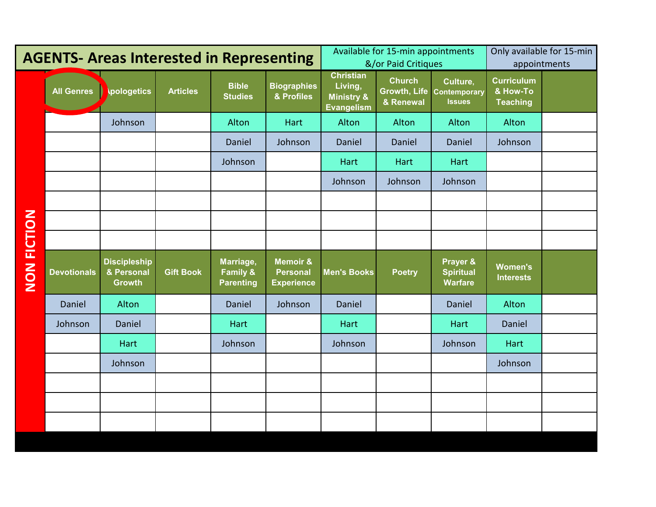| <b>AGENTS- Areas Interested in Representing</b> |                    |                                   |                  |                                                      |                                                             | Available for 15-min appointments<br>&/or Paid Critiques                  |                            |                                                        | Only available for 15-min<br>appointments        |  |
|-------------------------------------------------|--------------------|-----------------------------------|------------------|------------------------------------------------------|-------------------------------------------------------------|---------------------------------------------------------------------------|----------------------------|--------------------------------------------------------|--------------------------------------------------|--|
|                                                 | <b>All Genres</b>  | <b>pologetics</b>                 | <b>Articles</b>  | <b>Bible</b><br><b>Studies</b>                       | <b>Biographies</b><br>& Profiles                            | <b>Christian</b><br>Living,<br><b>Ministry &amp;</b><br><b>Evangelism</b> | <b>Church</b><br>& Renewal | Culture,<br>Growth, Life Contemporary<br><b>Issues</b> | <b>Curriculum</b><br>& How-To<br><b>Teaching</b> |  |
|                                                 |                    | Johnson                           |                  | Alton                                                | Hart                                                        | Alton                                                                     | Alton                      | Alton                                                  | Alton                                            |  |
|                                                 |                    |                                   |                  | Daniel                                               | Johnson                                                     | Daniel                                                                    | Daniel                     | Daniel                                                 | Johnson                                          |  |
|                                                 |                    |                                   |                  | Johnson                                              |                                                             | Hart                                                                      | Hart                       | Hart                                                   |                                                  |  |
|                                                 |                    |                                   |                  |                                                      |                                                             | Johnson                                                                   | Johnson                    | Johnson                                                |                                                  |  |
|                                                 |                    |                                   |                  |                                                      |                                                             |                                                                           |                            |                                                        |                                                  |  |
| <b>NON FICTION</b>                              |                    |                                   |                  |                                                      |                                                             |                                                                           |                            |                                                        |                                                  |  |
|                                                 |                    |                                   |                  |                                                      |                                                             |                                                                           |                            |                                                        |                                                  |  |
|                                                 | <b>Devotionals</b> | <b>Discipleship</b><br>& Personal | <b>Gift Book</b> | Marriage,<br><b>Family &amp;</b><br><b>Parenting</b> | <b>Memoir &amp;</b><br><b>Personal</b><br><b>Experience</b> | <b>Men's Books</b>                                                        | <b>Poetry</b>              | Prayer &<br><b>Spiritual</b><br><b>Warfare</b>         | Women's<br><b>Interests</b>                      |  |
|                                                 |                    | <b>Growth</b>                     |                  |                                                      |                                                             |                                                                           |                            |                                                        |                                                  |  |
|                                                 | Daniel             | Alton                             |                  | Daniel                                               | Johnson                                                     | Daniel                                                                    |                            | Daniel                                                 | Alton                                            |  |
|                                                 | Johnson            | Daniel                            |                  | Hart                                                 |                                                             | Hart                                                                      |                            | Hart                                                   | Daniel                                           |  |
|                                                 |                    | Hart                              |                  | Johnson                                              |                                                             | Johnson                                                                   |                            | Johnson                                                | Hart                                             |  |
|                                                 |                    | Johnson                           |                  |                                                      |                                                             |                                                                           |                            |                                                        | Johnson                                          |  |
|                                                 |                    |                                   |                  |                                                      |                                                             |                                                                           |                            |                                                        |                                                  |  |
|                                                 |                    |                                   |                  |                                                      |                                                             |                                                                           |                            |                                                        |                                                  |  |
|                                                 |                    |                                   |                  |                                                      |                                                             |                                                                           |                            |                                                        |                                                  |  |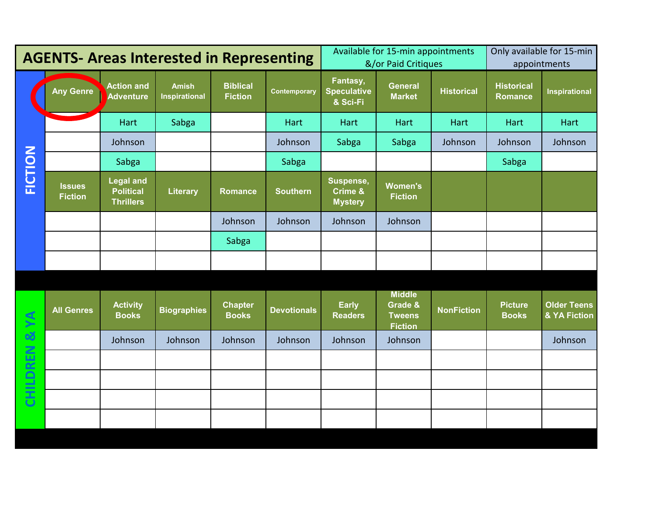| <b>AGENTS- Areas Interested in Representing</b> |                                 |                                                          |                                      |                                   |                    | Available for 15-min appointments<br>&/or Paid Critiques |                                                             |                   | Only available for 15-min<br>appointments |                                    |
|-------------------------------------------------|---------------------------------|----------------------------------------------------------|--------------------------------------|-----------------------------------|--------------------|----------------------------------------------------------|-------------------------------------------------------------|-------------------|-------------------------------------------|------------------------------------|
|                                                 | <b>Any Genre</b>                | <b>Action and</b><br>Adventure                           | <b>Amish</b><br><b>Inspirational</b> | <b>Biblical</b><br><b>Fiction</b> | Contemporary       | Fantasy,<br><b>Speculative</b><br>& Sci-Fi               | <b>General</b><br><b>Market</b>                             | <b>Historical</b> | <b>Historical</b><br><b>Romance</b>       | <b>Inspirational</b>               |
|                                                 |                                 | Hart                                                     | Sabga                                |                                   | Hart               | Hart                                                     | Hart                                                        | Hart              | Hart                                      | Hart                               |
|                                                 |                                 | Johnson                                                  |                                      |                                   | Johnson            | Sabga                                                    | Sabga                                                       | Johnson           | Johnson                                   | Johnson                            |
|                                                 |                                 | Sabga                                                    |                                      |                                   | Sabga              |                                                          |                                                             |                   | Sabga                                     |                                    |
| <b>FICTION</b>                                  | <b>Issues</b><br><b>Fiction</b> | <b>Legal and</b><br><b>Political</b><br><b>Thrillers</b> | <b>Literary</b>                      | <b>Romance</b>                    | <b>Southern</b>    | Suspense,<br><b>Crime &amp;</b><br><b>Mystery</b>        | <b>Women's</b><br><b>Fiction</b>                            |                   |                                           |                                    |
|                                                 |                                 |                                                          |                                      | Johnson                           | Johnson            | Johnson                                                  | Johnson                                                     |                   |                                           |                                    |
|                                                 |                                 |                                                          |                                      | Sabga                             |                    |                                                          |                                                             |                   |                                           |                                    |
|                                                 |                                 |                                                          |                                      |                                   |                    |                                                          |                                                             |                   |                                           |                                    |
|                                                 |                                 |                                                          |                                      |                                   |                    |                                                          |                                                             |                   |                                           |                                    |
| CHILDREN & YA                                   | <b>All Genres</b>               | <b>Activity</b><br><b>Books</b>                          | <b>Biographies</b>                   | <b>Chapter</b><br><b>Books</b>    | <b>Devotionals</b> | <b>Early</b><br><b>Readers</b>                           | <b>Middle</b><br>Grade &<br><b>Tweens</b><br><b>Fiction</b> | <b>NonFiction</b> | <b>Picture</b><br><b>Books</b>            | <b>Older Teens</b><br>& YA Fiction |
|                                                 |                                 | Johnson                                                  | Johnson                              | Johnson                           | Johnson            | Johnson                                                  | Johnson                                                     |                   |                                           | Johnson                            |
|                                                 |                                 |                                                          |                                      |                                   |                    |                                                          |                                                             |                   |                                           |                                    |
|                                                 |                                 |                                                          |                                      |                                   |                    |                                                          |                                                             |                   |                                           |                                    |
|                                                 |                                 |                                                          |                                      |                                   |                    |                                                          |                                                             |                   |                                           |                                    |
|                                                 |                                 |                                                          |                                      |                                   |                    |                                                          |                                                             |                   |                                           |                                    |
|                                                 |                                 |                                                          |                                      |                                   |                    |                                                          |                                                             |                   |                                           |                                    |